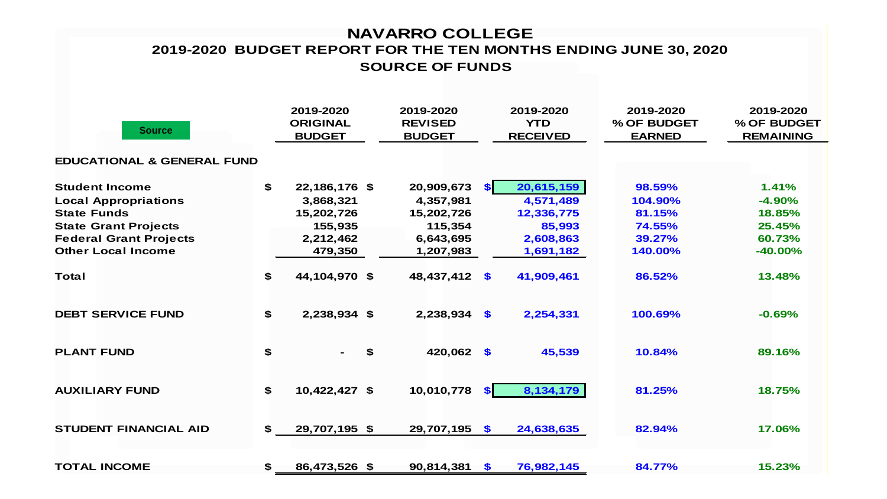## **NAVARRO COLLEGE SOURCE OF FUNDS 2019-2020 BUDGET REPORT FOR THE TEN MONTHS ENDING JUNE 30, 2020**

| <b>Source</b>                         | 2019-2020<br><b>ORIGINAL</b><br><b>BUDGET</b> | 2019-2020<br><b>REVISED</b><br><b>BUDGET</b> |           | 2019-2020<br><b>YTD</b><br><b>RECEIVED</b> | 2019-2020<br>% OF BUDGET<br><b>EARNED</b> | 2019-2020<br>% OF BUDGET<br><b>REMAINING</b> |
|---------------------------------------|-----------------------------------------------|----------------------------------------------|-----------|--------------------------------------------|-------------------------------------------|----------------------------------------------|
| <b>EDUCATIONAL &amp; GENERAL FUND</b> |                                               |                                              |           |                                            |                                           |                                              |
| <b>Student Income</b>                 | \$<br>22,186,176 \$                           | 20,909,673                                   | <b>SI</b> | 20,615,159                                 | 98.59%                                    | 1.41%                                        |
| <b>Local Appropriations</b>           | 3,868,321                                     | 4,357,981                                    |           | 4,571,489                                  | 104.90%                                   | $-4.90%$                                     |
| <b>State Funds</b>                    | 15,202,726                                    | 15,202,726                                   |           | 12,336,775                                 | 81.15%                                    | 18.85%                                       |
| <b>State Grant Projects</b>           | 155,935                                       | 115,354                                      |           | 85,993                                     | 74.55%                                    | 25.45%                                       |
| <b>Federal Grant Projects</b>         | 2,212,462                                     | 6,643,695                                    |           | 2,608,863                                  | 39.27%                                    | 60.73%                                       |
| <b>Other Local Income</b>             | 479,350                                       | 1,207,983                                    |           | 1,691,182                                  | 140.00%                                   | $-40.00%$                                    |
| <b>Total</b>                          | \$<br>44,104,970 \$                           | 48,437,412                                   | $\bullet$ | 41,909,461                                 | 86.52%                                    | 13.48%                                       |
| <b>DEBT SERVICE FUND</b>              | \$<br>2,238,934 \$                            | 2,238,934                                    | $\bullet$ | 2,254,331                                  | 100.69%                                   | $-0.69%$                                     |
| <b>PLANT FUND</b>                     | \$                                            | \$<br>420,062 \$                             |           | 45,539                                     | 10.84%                                    | 89.16%                                       |
| <b>AUXILIARY FUND</b>                 | \$<br>10,422,427 \$                           | 10,010,778                                   | SI.       | 8,134,179                                  | 81.25%                                    | 18.75%                                       |
| <b>STUDENT FINANCIAL AID</b>          | \$<br>29,707,195 \$                           | 29,707,195                                   | $\bullet$ | 24,638,635                                 | 82.94%                                    | 17.06%                                       |
| <b>TOTAL INCOME</b>                   | \$<br>86,473,526 \$                           | 90,814,381                                   | $\bullet$ | 76,982,145                                 | 84.77%                                    | 15.23%                                       |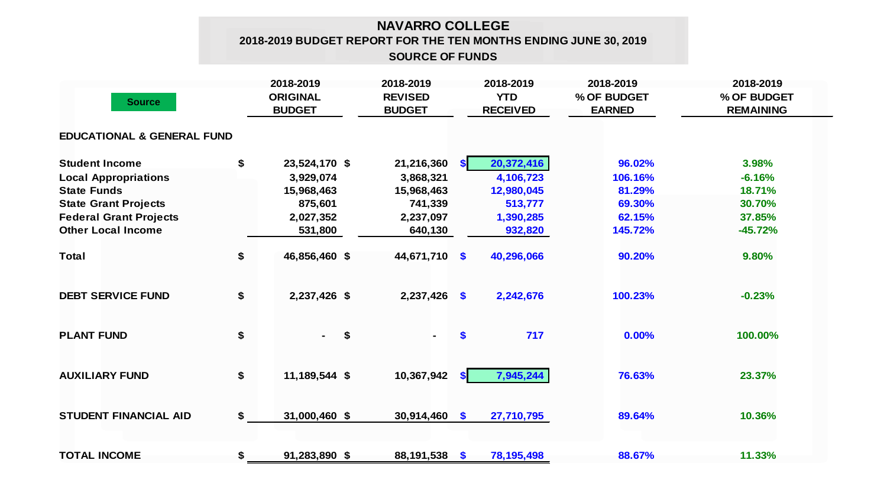## **NAVARRO COLLEGE 2018-2019 BUDGET REPORT FOR THE TEN MONTHS ENDING JUNE 30, 2019 SOURCE OF FUNDS**

| <b>Source</b>                         |    | 2018-2019<br><b>ORIGINAL</b><br><b>BUDGET</b> | 2018-2019<br><b>REVISED</b><br><b>BUDGET</b> |                | 2018-2019<br><b>YTD</b><br><b>RECEIVED</b> | 2018-2019<br>% OF BUDGET<br><b>EARNED</b> | 2018-2019<br>% OF BUDGET<br><b>REMAINING</b> |  |
|---------------------------------------|----|-----------------------------------------------|----------------------------------------------|----------------|--------------------------------------------|-------------------------------------------|----------------------------------------------|--|
| <b>EDUCATIONAL &amp; GENERAL FUND</b> |    |                                               |                                              |                |                                            |                                           |                                              |  |
| <b>Student Income</b>                 | \$ | 23,524,170 \$                                 | 21,216,360                                   | $\bullet$      | 20,372,416                                 | 96.02%                                    | 3.98%                                        |  |
| <b>Local Appropriations</b>           |    | 3,929,074                                     | 3,868,321                                    |                | 4,106,723                                  | 106.16%                                   | $-6.16%$                                     |  |
| <b>State Funds</b>                    |    | 15,968,463                                    | 15,968,463                                   |                | 12,980,045                                 | 81.29%                                    | 18.71%                                       |  |
| <b>State Grant Projects</b>           |    | 875,601                                       | 741,339                                      |                | 513,777                                    | 69.30%                                    | 30.70%                                       |  |
| <b>Federal Grant Projects</b>         |    | 2,027,352                                     | 2,237,097                                    |                | 1,390,285                                  | 62.15%                                    | 37.85%                                       |  |
| <b>Other Local Income</b>             |    | 531,800                                       | 640,130                                      |                | 932,820                                    | 145.72%                                   | $-45.72%$                                    |  |
| <b>Total</b>                          | \$ | 46,856,460 \$                                 | 44,671,710                                   | $\mathbf{\$}$  | 40,296,066                                 | 90.20%                                    | 9.80%                                        |  |
| <b>DEBT SERVICE FUND</b>              | \$ | 2,237,426 \$                                  | 2,237,426                                    | $\mathbf{\$}$  | 2,242,676                                  | 100.23%                                   | $-0.23%$                                     |  |
| <b>PLANT FUND</b>                     | \$ | \$<br>$\blacksquare$                          | $\sim$                                       | \$             | 717                                        | 0.00%                                     | 100.00%                                      |  |
| <b>AUXILIARY FUND</b>                 | \$ | 11,189,544 \$                                 | 10,367,942                                   | S <sub>1</sub> | 7,945,244                                  | 76.63%                                    | 23.37%                                       |  |
| <b>STUDENT FINANCIAL AID</b>          | \$ | 31,000,460 \$                                 | 30,914,460                                   | $\mathbf{\$}$  | 27,710,795                                 | 89.64%                                    | 10.36%                                       |  |
| <b>TOTAL INCOME</b>                   | \$ | 91,283,890 \$                                 | 88,191,538 \$                                |                | 78, 195, 498                               | 88.67%                                    | 11.33%                                       |  |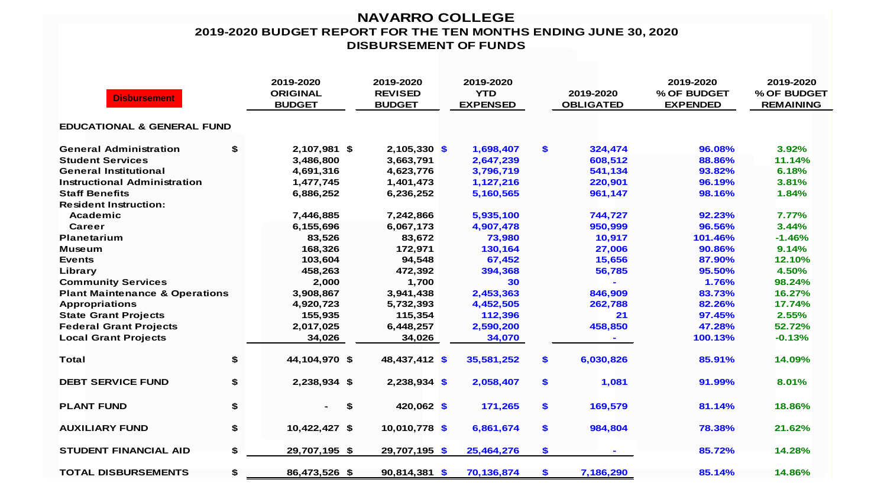## **NAVARRO COLLEGE 2019-2020 BUDGET REPORT FOR THE TEN MONTHS ENDING JUNE 30, 2020 DISBURSEMENT OF FUNDS**

| <b>Disbursement</b>                       |    | 2019-2020<br><b>ORIGINAL</b><br><b>BUDGET</b> | 2019-2020<br><b>REVISED</b><br><b>BUDGET</b> | 2019-2020<br><b>YTD</b><br><b>EXPENSED</b> | 2019-2020<br><b>OBLIGATED</b> |           | 2019-2020<br>% OF BUDGET<br><b>EXPENDED</b> | 2019-2020<br>% OF BUDGET<br><b>REMAINING</b> |
|-------------------------------------------|----|-----------------------------------------------|----------------------------------------------|--------------------------------------------|-------------------------------|-----------|---------------------------------------------|----------------------------------------------|
| <b>EDUCATIONAL &amp; GENERAL FUND</b>     |    |                                               |                                              |                                            |                               |           |                                             |                                              |
| <b>General Administration</b>             | \$ | 2,107,981 \$                                  | $2,105,330$ \$                               | 1,698,407                                  | \$                            | 324,474   | 96.08%                                      | 3.92%                                        |
| <b>Student Services</b>                   |    | 3,486,800                                     | 3,663,791                                    | 2,647,239                                  |                               | 608,512   | 88.86%                                      | 11.14%                                       |
| <b>General Institutional</b>              |    | 4,691,316                                     | 4,623,776                                    | 3,796,719                                  |                               | 541,134   | 93.82%                                      | 6.18%                                        |
| Instructional Administration              |    | 1,477,745                                     | 1,401,473                                    | 1,127,216                                  |                               | 220,901   | 96.19%                                      | 3.81%                                        |
| <b>Staff Benefits</b>                     |    | 6,886,252                                     | 6,236,252                                    | 5,160,565                                  |                               | 961,147   | 98.16%                                      | 1.84%                                        |
| <b>Resident Instruction:</b>              |    |                                               |                                              |                                            |                               |           |                                             |                                              |
| Academic                                  |    | 7,446,885                                     | 7,242,866                                    | 5,935,100                                  |                               | 744,727   | 92.23%                                      | 7.77%                                        |
| <b>Career</b>                             |    | 6,155,696                                     | 6,067,173                                    | 4,907,478                                  |                               | 950,999   | 96.56%                                      | 3.44%                                        |
| Planetarium                               |    | 83,526                                        | 83,672                                       | 73,980                                     |                               | 10,917    | 101.46%                                     | $-1.46%$                                     |
| <b>Museum</b>                             |    | 168,326                                       | 172,971                                      | 130,164                                    |                               | 27,006    | 90.86%                                      | 9.14%                                        |
| <b>Events</b>                             |    | 103,604                                       | 94,548                                       | 67,452                                     |                               | 15,656    | 87.90%                                      | 12.10%                                       |
| Library                                   |    | 458,263                                       | 472,392                                      | 394,368                                    |                               | 56,785    | 95.50%                                      | 4.50%                                        |
| <b>Community Services</b>                 |    | 2,000                                         | 1,700                                        | 30                                         |                               |           | 1.76%                                       | 98.24%                                       |
| <b>Plant Maintenance &amp; Operations</b> |    | 3,908,867                                     | 3,941,438                                    | 2,453,363                                  |                               | 846,909   | 83.73%                                      | 16.27%                                       |
| <b>Appropriations</b>                     |    | 4,920,723                                     | 5,732,393                                    | 4,452,505                                  |                               | 262,788   | 82.26%                                      | 17.74%                                       |
| <b>State Grant Projects</b>               |    | 155,935                                       | 115,354                                      | 112,396                                    |                               | 21        | 97.45%                                      | 2.55%                                        |
| <b>Federal Grant Projects</b>             |    | 2,017,025                                     | 6,448,257                                    | 2,590,200                                  |                               | 458,850   | 47.28%                                      | 52.72%                                       |
| <b>Local Grant Projects</b>               |    | 34,026                                        | 34,026                                       | 34,070                                     |                               |           | 100.13%                                     | $-0.13%$                                     |
| <b>Total</b>                              | \$ | 44,104,970 \$                                 | 48,437,412 \$                                | 35,581,252                                 | \$                            | 6,030,826 | 85.91%                                      | 14.09%                                       |
| <b>DEBT SERVICE FUND</b>                  | \$ | 2,238,934 \$                                  | $2,238,934$ \$                               | 2,058,407                                  | $\mathbf{s}$                  | 1,081     | 91.99%                                      | 8.01%                                        |
| <b>PLANT FUND</b>                         | \$ | \$                                            | 420,062 \$                                   | 171,265                                    | \$                            | 169,579   | 81.14%                                      | 18.86%                                       |
| <b>AUXILIARY FUND</b>                     | \$ | 10,422,427 \$                                 | 10,010,778 \$                                | 6,861,674                                  | \$                            | 984,804   | 78.38%                                      | 21.62%                                       |
| <b>STUDENT FINANCIAL AID</b>              | \$ | 29,707,195 \$                                 | 29,707,195 \$                                | 25,464,276                                 | $\boldsymbol{\$}$             |           | 85.72%                                      | 14.28%                                       |
| <b>TOTAL DISBURSEMENTS</b>                | \$ | 86,473,526 \$                                 | 90,814,381 \$                                | 70,136,874                                 | $\boldsymbol{\$}$             | 7,186,290 | 85.14%                                      | 14.86%                                       |